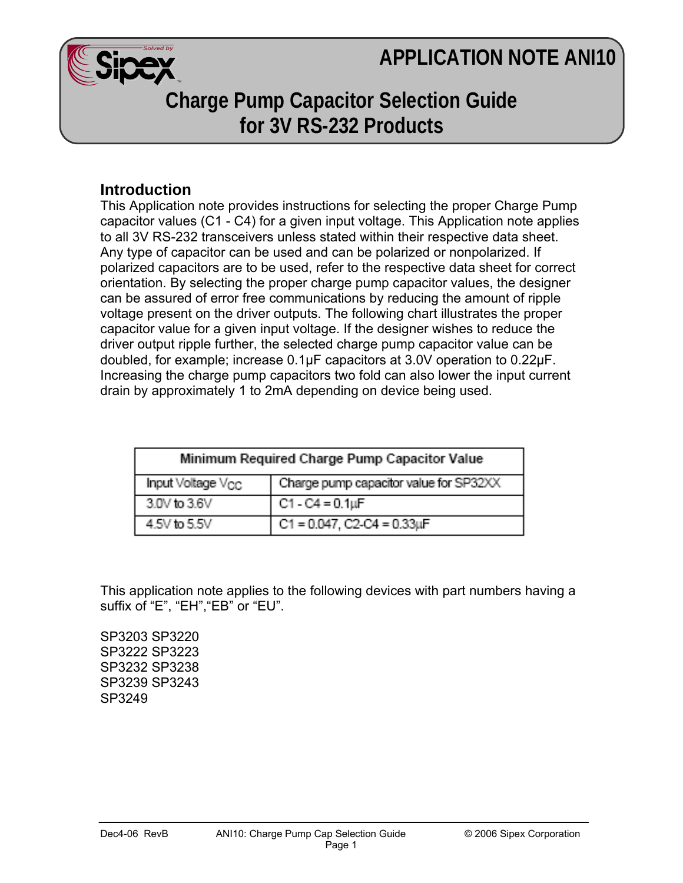## **APPLICATION NOTE ANI10**



## **Charge Pump Capacitor Selection Guide for 3V RS-232 Products**

## **Introduction**

This Application note provides instructions for selecting the proper Charge Pump capacitor values (C1 - C4) for a given input voltage. This Application note applies to all 3V RS-232 transceivers unless stated within their respective data sheet. Any type of capacitor can be used and can be polarized or nonpolarized. If polarized capacitors are to be used, refer to the respective data sheet for correct orientation. By selecting the proper charge pump capacitor values, the designer can be assured of error free communications by reducing the amount of ripple voltage present on the driver outputs. The following chart illustrates the proper capacitor value for a given input voltage. If the designer wishes to reduce the driver output ripple further, the selected charge pump capacitor value can be doubled, for example; increase 0.1μF capacitors at 3.0V operation to 0.22μF. Increasing the charge pump capacitors two fold can also lower the input current drain by approximately 1 to 2mA depending on device being used.

| Minimum Required Charge Pump Capacitor Value |                                        |
|----------------------------------------------|----------------------------------------|
| Input Voltage $V_{CC}$                       | Charge pump capacitor value for SP32XX |
| $30V$ to $36V$                               | $C1 - C4 = 0.1 \mu F$                  |
| 4.5V to 5.5V                                 | $C1 = 0.047$ , $C2-C4 = 0.33 \mu F$    |

This application note applies to the following devices with part numbers having a suffix of "E", "EH", "EB" or "EU".

SP3203 SP3220 SP3222 SP3223 SP3232 SP3238 SP3239 SP3243 SP3249